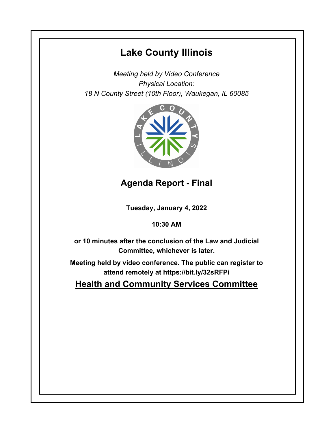# **Lake County Illinois**

*Meeting held by Video Conference Physical Location: 18 N County Street (10th Floor), Waukegan, IL 60085*



## **Agenda Report - Final**

**Tuesday, January 4, 2022**

### **10:30 AM**

**or 10 minutes after the conclusion of the Law and Judicial Committee, whichever is later.**

**Meeting held by video conference. The public can register to attend remotely at https://bit.ly/32sRFPi**

**Health and Community Services Committee**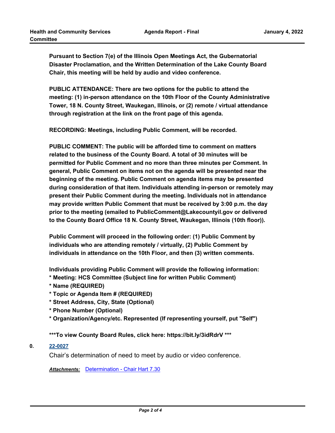**Pursuant to Section 7(e) of the Illinois Open Meetings Act, the Gubernatorial Disaster Proclamation, and the Written Determination of the Lake County Board Chair, this meeting will be held by audio and video conference.** 

**PUBLIC ATTENDANCE: There are two options for the public to attend the meeting: (1) in-person attendance on the 10th Floor of the County Administrative Tower, 18 N. County Street, Waukegan, Illinois, or (2) remote / virtual attendance through registration at the link on the front page of this agenda.**

**RECORDING: Meetings, including Public Comment, will be recorded.** 

**PUBLIC COMMENT: The public will be afforded time to comment on matters related to the business of the County Board. A total of 30 minutes will be permitted for Public Comment and no more than three minutes per Comment. In general, Public Comment on items not on the agenda will be presented near the beginning of the meeting. Public Comment on agenda items may be presented during consideration of that item. Individuals attending in-person or remotely may present their Public Comment during the meeting. Individuals not in attendance may provide written Public Comment that must be received by 3:00 p.m. the day prior to the meeting (emailed to PublicComment@Lakecountyil.gov or delivered to the County Board Office 18 N. County Street, Waukegan, Illinois (10th floor)).**

**Public Comment will proceed in the following order: (1) Public Comment by individuals who are attending remotely / virtually, (2) Public Comment by individuals in attendance on the 10th Floor, and then (3) written comments.**

**Individuals providing Public Comment will provide the following information:**

- **\* Meeting: HCS Committee (Subject line for written Public Comment)**
- **\* Name (REQUIRED)**
- **\* Topic or Agenda Item # (REQUIRED)**
- **\* Street Address, City, State (Optional)**
- **\* Phone Number (Optional)**
- **\* Organization/Agency/etc. Represented (If representing yourself, put "Self")**

**\*\*\*To view County Board Rules, click here: https://bit.ly/3idRdrV \*\*\***

#### **0. [22-0027](http://lakecounty.legistar.com/gateway.aspx?m=l&id=/matter.aspx?key=25809)**

Chair's determination of need to meet by audio or video conference.

*Attachments:* [Determination - Chair Hart 7.30](http://lakecounty.legistar.com/gateway.aspx?M=F&ID=6b1ae6d4-0a14-4019-b032-d4b548d15e17.pdf)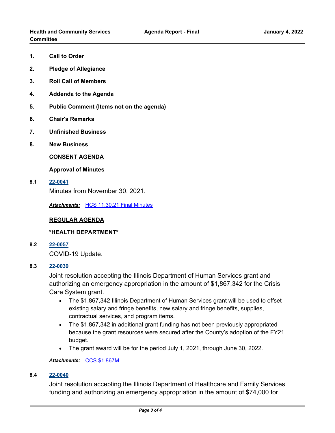- **1. Call to Order**
- **2. Pledge of Allegiance**
- **3. Roll Call of Members**
- **4. Addenda to the Agenda**
- **5. Public Comment (Items not on the agenda)**
- **6. Chair's Remarks**
- **7. Unfinished Business**
- **8. New Business**

#### **CONSENT AGENDA**

#### **Approval of Minutes**

**8.1 [22-0041](http://lakecounty.legistar.com/gateway.aspx?m=l&id=/matter.aspx?key=25823)**

Minutes from November 30, 2021.

*Attachments:* [HCS 11.30.21 Final Minutes](http://lakecounty.legistar.com/gateway.aspx?M=F&ID=2c123e92-484e-48c7-876b-26889860e98b.pdf)

#### **REGULAR AGENDA**

#### **\*HEALTH DEPARTMENT\***

**8.2 [22-0057](http://lakecounty.legistar.com/gateway.aspx?m=l&id=/matter.aspx?key=25839)**

COVID-19 Update.

#### **8.3 [22-0039](http://lakecounty.legistar.com/gateway.aspx?m=l&id=/matter.aspx?key=25821)**

Joint resolution accepting the Illinois Department of Human Services grant and authorizing an emergency appropriation in the amount of \$1,867,342 for the Crisis Care System grant.

- · The \$1,867,342 Illinois Department of Human Services grant will be used to offset existing salary and fringe benefits, new salary and fringe benefits, supplies, contractual services, and program items.
- · The \$1,867,342 in additional grant funding has not been previously appropriated because the grant resources were secured after the County's adoption of the FY21 budget.
- · The grant award will be for the period July 1, 2021, through June 30, 2022.

#### *Attachments:* [CCS \\$1.867M](http://lakecounty.legistar.com/gateway.aspx?M=F&ID=718c0003-e570-4a77-abd8-a43132fca7d1.pdf)

#### **8.4 [22-0040](http://lakecounty.legistar.com/gateway.aspx?m=l&id=/matter.aspx?key=25822)**

Joint resolution accepting the Illinois Department of Healthcare and Family Services funding and authorizing an emergency appropriation in the amount of \$74,000 for